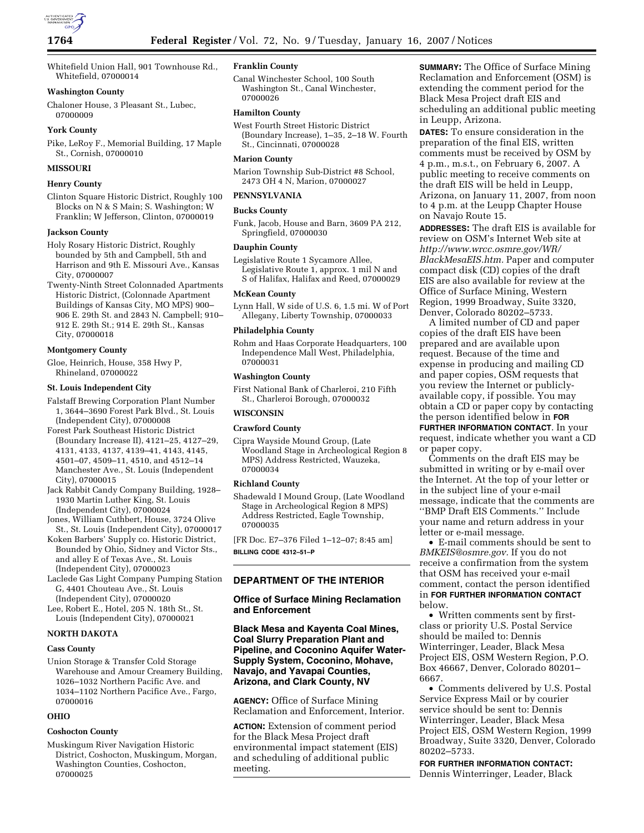Whitefield Union Hall, 901 Townhouse Rd., Whitefield, 07000014

# **Washington County**

Chaloner House, 3 Pleasant St., Lubec, 07000009

# **York County**

Pike, LeRoy F., Memorial Building, 17 Maple St., Cornish, 07000010

# **MISSOURI**

# **Henry County**

Clinton Square Historic District, Roughly 100 Blocks on N & S Main; S. Washington; W Franklin; W Jefferson, Clinton, 07000019

## **Jackson County**

Holy Rosary Historic District, Roughly bounded by 5th and Campbell, 5th and Harrison and 9th E. Missouri Ave., Kansas City, 07000007

Twenty-Ninth Street Colonnaded Apartments Historic District, (Colonnade Apartment Buildings of Kansas City, MO MPS) 900– 906 E. 29th St. and 2843 N. Campbell; 910– 912 E. 29th St.; 914 E. 29th St., Kansas City, 07000018

#### **Montgomery County**

Gloe, Heinrich, House, 358 Hwy P, Rhineland, 07000022

#### **St. Louis Independent City**

- Falstaff Brewing Corporation Plant Number 1, 3644–3690 Forest Park Blvd., St. Louis (Independent City), 07000008
- Forest Park Southeast Historic District (Boundary Increase II), 4121–25, 4127–29, 4131, 4133, 4137, 4139–41, 4143, 4145, 4501–07, 4509–11, 4510, and 4512–14 Manchester Ave., St. Louis (Independent City), 07000015

Jack Rabbit Candy Company Building, 1928– 1930 Martin Luther King, St. Louis (Independent City), 07000024

Jones, William Cuthbert, House, 3724 Olive St., St. Louis (Independent City), 07000017

Koken Barbers' Supply co. Historic District, Bounded by Ohio, Sidney and Victor Sts., and alley E of Texas Ave., St. Louis (Independent City), 07000023

Laclede Gas Light Company Pumping Station G, 4401 Chouteau Ave., St. Louis (Independent City), 07000020

Lee, Robert E., Hotel, 205 N. 18th St., St. Louis (Independent City), 07000021

# **NORTH DAKOTA**

## **Cass County**

Union Storage & Transfer Cold Storage Warehouse and Amour Creamery Building, 1026–1032 Northern Pacific Ave. and 1034–1102 Northern Pacifice Ave., Fargo, 07000016

### **OHIO**

### **Coshocton County**

Muskingum River Navigation Historic District, Coshocton, Muskingum, Morgan, Washington Counties, Coshocton, 07000025

# **Franklin County**

Canal Winchester School, 100 South Washington St., Canal Winchester, 07000026

### **Hamilton County**

West Fourth Street Historic District (Boundary Increase), 1–35, 2–18 W. Fourth St., Cincinnati, 07000028

#### **Marion County**

Marion Township Sub-District #8 School, 2473 OH 4 N, Marion, 07000027

## **PENNSYLVANIA**

### **Bucks County**

Funk, Jacob, House and Barn, 3609 PA 212, Springfield, 07000030

# **Dauphin County**

Legislative Route 1 Sycamore Allee, Legislative Route 1, approx. 1 mil N and S of Halifax, Halifax and Reed, 07000029

### **McKean County**

Lynn Hall, W side of U.S. 6, 1.5 mi. W of Port Allegany, Liberty Township, 07000033

#### **Philadelphia County**

Rohm and Haas Corporate Headquarters, 100 Independence Mall West, Philadelphia, 07000031

#### **Washington County**

First National Bank of Charleroi, 210 Fifth St., Charleroi Borough, 07000032

## **WISCONSIN**

## **Crawford County**

Cipra Wayside Mound Group, (Late Woodland Stage in Archeological Region 8 MPS) Address Restricted, Wauzeka, 07000034

### **Richland County**

Shadewald I Mound Group, (Late Woodland Stage in Archeological Region 8 MPS) Address Restricted, Eagle Township, 07000035

[FR Doc. E7–376 Filed 1–12–07; 8:45 am] **BILLING CODE 4312–51–P** 

# **DEPARTMENT OF THE INTERIOR**

# **Office of Surface Mining Reclamation and Enforcement**

# **Black Mesa and Kayenta Coal Mines, Coal Slurry Preparation Plant and Pipeline, and Coconino Aquifer Water-Supply System, Coconino, Mohave, Navajo, and Yavapai Counties, Arizona, and Clark County, NV**

**AGENCY:** Office of Surface Mining Reclamation and Enforcement, Interior.

**ACTION:** Extension of comment period for the Black Mesa Project draft environmental impact statement (EIS) and scheduling of additional public meeting.

**SUMMARY:** The Office of Surface Mining Reclamation and Enforcement (OSM) is extending the comment period for the Black Mesa Project draft EIS and scheduling an additional public meeting in Leupp, Arizona.

**DATES:** To ensure consideration in the preparation of the final EIS, written comments must be received by OSM by 4 p.m., m.s.t., on February 6, 2007. A public meeting to receive comments on the draft EIS will be held in Leupp, Arizona, on January 11, 2007, from noon to 4 p.m. at the Leupp Chapter House on Navajo Route 15.

**ADDRESSES:** The draft EIS is available for review on OSM's Internet Web site at *http://www.wrcc.osmre.gov/WR/ BlackMesaEIS.htm.* Paper and computer compact disk (CD) copies of the draft EIS are also available for review at the Office of Surface Mining, Western Region, 1999 Broadway, Suite 3320, Denver, Colorado 80202–5733.

A limited number of CD and paper copies of the draft EIS have been prepared and are available upon request. Because of the time and expense in producing and mailing CD and paper copies, OSM requests that you review the Internet or publiclyavailable copy, if possible. You may obtain a CD or paper copy by contacting the person identified below in **FOR FURTHER INFORMATION CONTACT**. In your request, indicate whether you want a CD or paper copy.

Comments on the draft EIS may be submitted in writing or by e-mail over the Internet. At the top of your letter or in the subject line of your e-mail message, indicate that the comments are ''BMP Draft EIS Comments.'' Include your name and return address in your letter or e-mail message.

• E-mail comments should be sent to *BMKEIS@osmre.gov.* If you do not receive a confirmation from the system that OSM has received your e-mail comment, contact the person identified in **FOR FURTHER INFORMATION CONTACT** below.

• Written comments sent by firstclass or priority U.S. Postal Service should be mailed to: Dennis Winterringer, Leader, Black Mesa Project EIS, OSM Western Region, P.O. Box 46667, Denver, Colorado 80201– 6667.

• Comments delivered by U.S. Postal Service Express Mail or by courier service should be sent to: Dennis Winterringer, Leader, Black Mesa Project EIS, OSM Western Region, 1999 Broadway, Suite 3320, Denver, Colorado 80202–5733.

**FOR FURTHER INFORMATION CONTACT:**  Dennis Winterringer, Leader, Black